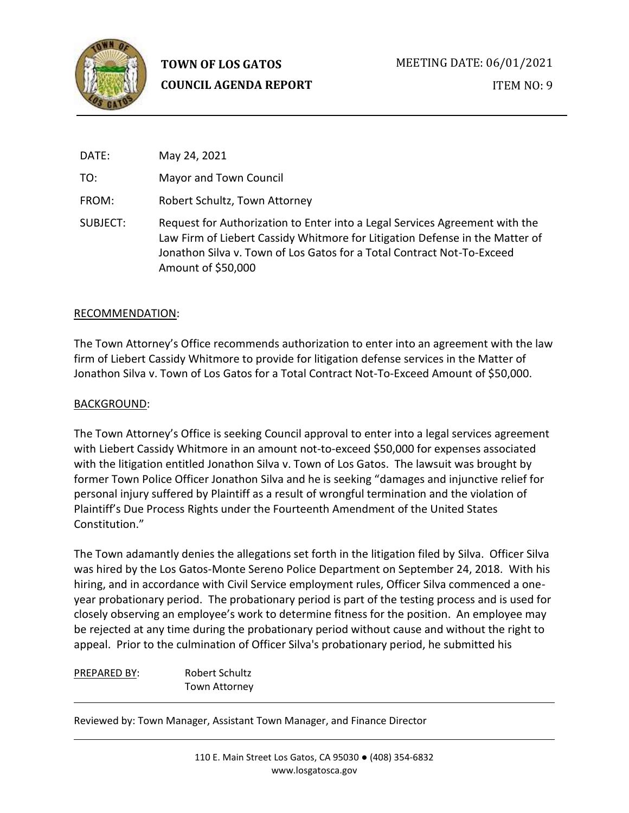

| DATE:    | May 24, 2021                                                                                                                                                                                                                                                |
|----------|-------------------------------------------------------------------------------------------------------------------------------------------------------------------------------------------------------------------------------------------------------------|
| TO:      | Mayor and Town Council                                                                                                                                                                                                                                      |
| FROM:    | Robert Schultz, Town Attorney                                                                                                                                                                                                                               |
| SUBJECT: | Request for Authorization to Enter into a Legal Services Agreement with the<br>Law Firm of Liebert Cassidy Whitmore for Litigation Defense in the Matter of<br>Jonathon Silva y. Town of Los Gatos for a Total Contract Not-To-Exceed<br>Amount of \$50,000 |

## RECOMMENDATION:

The Town Attorney's Office recommends authorization to enter into an agreement with the law firm of Liebert Cassidy Whitmore to provide for litigation defense services in the Matter of Jonathon Silva v. Town of Los Gatos for a Total Contract Not-To-Exceed Amount of \$50,000.

## BACKGROUND:

The Town Attorney's Office is seeking Council approval to enter into a legal services agreement with Liebert Cassidy Whitmore in an amount not-to-exceed \$50,000 for expenses associated with the litigation entitled Jonathon Silva v. Town of Los Gatos. The lawsuit was brought by former Town Police Officer Jonathon Silva and he is seeking "damages and injunctive relief for personal injury suffered by Plaintiff as a result of wrongful termination and the violation of Plaintiff's Due Process Rights under the Fourteenth Amendment of the United States Constitution."

The Town adamantly denies the allegations set forth in the litigation filed by Silva. Officer Silva was hired by the Los Gatos-Monte Sereno Police Department on September 24, 2018. With his hiring, and in accordance with Civil Service employment rules, Officer Silva commenced a oneyear probationary period. The probationary period is part of the testing process and is used for closely observing an employee's work to determine fitness for the position. An employee may be rejected at any time during the probationary period without cause and without the right to appeal. Prior to the culmination of Officer Silva's probationary period, he submitted his

PREPARED BY: Robert Schultz Town Attorney

Reviewed by: Town Manager, Assistant Town Manager, and Finance Director